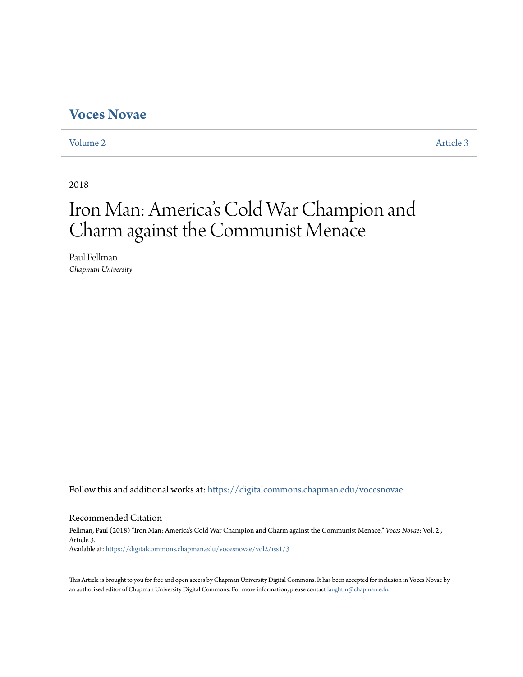# **[Voces Novae](https://digitalcommons.chapman.edu/vocesnovae?utm_source=digitalcommons.chapman.edu%2Fvocesnovae%2Fvol2%2Fiss1%2F3&utm_medium=PDF&utm_campaign=PDFCoverPages)**

[Volume 2](https://digitalcommons.chapman.edu/vocesnovae/vol2?utm_source=digitalcommons.chapman.edu%2Fvocesnovae%2Fvol2%2Fiss1%2F3&utm_medium=PDF&utm_campaign=PDFCoverPages) [Article 3](https://digitalcommons.chapman.edu/vocesnovae/vol2/iss1/3?utm_source=digitalcommons.chapman.edu%2Fvocesnovae%2Fvol2%2Fiss1%2F3&utm_medium=PDF&utm_campaign=PDFCoverPages)

2018

# Iron Man: America 's Cold War Champion and Charm against the Communist Menace

Paul Fellman *Chapman University*

Follow this and additional works at: [https://digitalcommons.chapman.edu/vocesnovae](https://digitalcommons.chapman.edu/vocesnovae?utm_source=digitalcommons.chapman.edu%2Fvocesnovae%2Fvol2%2Fiss1%2F3&utm_medium=PDF&utm_campaign=PDFCoverPages)

### Recommended Citation

Fellman, Paul (2018) "Iron Man: America's Cold War Champion and Charm against the Communist Menace," *Voces Novae*: Vol. 2 , Article 3. Available at: [https://digitalcommons.chapman.edu/vocesnovae/vol2/iss1/3](https://digitalcommons.chapman.edu/vocesnovae/vol2/iss1/3?utm_source=digitalcommons.chapman.edu%2Fvocesnovae%2Fvol2%2Fiss1%2F3&utm_medium=PDF&utm_campaign=PDFCoverPages)

This Article is brought to you for free and open access by Chapman University Digital Commons. It has been accepted for inclusion in Voces Novae by an authorized editor of Chapman University Digital Commons. For more information, please contact [laughtin@chapman.edu.](mailto:laughtin@chapman.edu)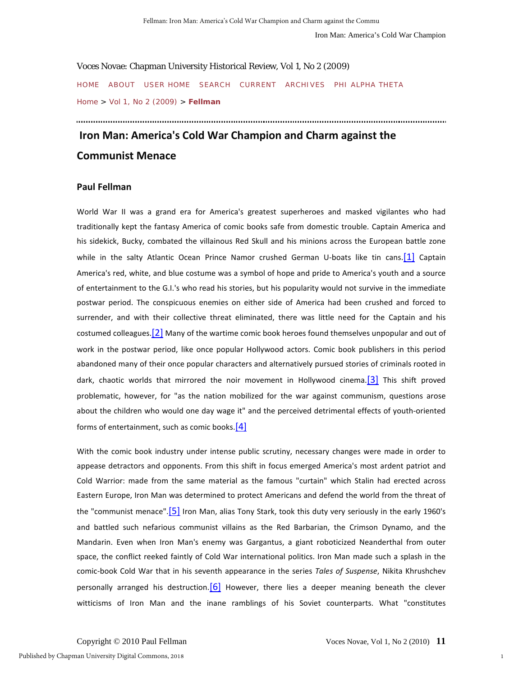Voces Novae: Chapman University Historical Review, Vol 1, No 2 (2009) [HOME](http://journals.chapman.edu/ojs/index.php/VocesNovae) [ABOUT](http://journals.chapman.edu/ojs/index.php/VocesNovae/about) [USER HOME](http://journals.chapman.edu/ojs/index.php/VocesNovae/user) [SEARCH](http://journals.chapman.edu/ojs/index.php/VocesNovae/search) [CURRENT](http://journals.chapman.edu/ojs/index.php/VocesNovae/issue/current) [ARCHIVES](http://journals.chapman.edu/ojs/index.php/VocesNovae/issue/archive) [PHI ALPHA THETA](http://www.chapman.edu/wilkinson/history/students/phiAlphaTheta.asp) [Home](http://journals.chapman.edu/ojs/index.php/VocesNovae) > [Vol 1, No 2 \(2009\)](http://journals.chapman.edu/ojs/index.php/VocesNovae/issue/view/11) > **[Fellman](http://journals.chapman.edu/ojs/index.php/VocesNovae/article/view/37/126)**

# **Iron Man: America's Cold War Champion and Charm against the Communist Menace**

### **Paul Fellman**

World War II was a grand era for America's greatest superheroes and masked vigilantes who had traditionally kept the fantasy America of comic books safe from domestic trouble. Captain America and his sidekick, Bucky, combated the villainous Red Skull and his minions across the European battle zone while in the salty Atlantic Ocean Prince Namor crushed German U-boats like tin cans.<sup>[1]</sup> Captain America's red, white, and blue costume was a symbol of hope and pride to America's youth and a source of entertainment to the G.I.'s who read his stories, but his popularity would not survive in the immediate postwar period. The conspicuous enemies on either side of America had been crushed and forced to surrender, and with their collective threat eliminated, there was little need for the Captain and his costumed colleagues.  $[2]$  Many of the wartime comic book heroes found themselves unpopular and out of work in the postwar period, like once popular Hollywood actors. Comic book publishers in this period abandoned many of their once popular characters and alternatively pursued stories of criminals rooted in dark, chaotic worlds that mirrored the noir movement in Hollywood cinema.<sup>[3]</sup> This shift proved problematic, however, for "as the nation mobilized for the war against communism, questions arose about the children who would one day wage it" and the perceived detrimental effects of youth-oriented forms of entertainment, such as comic books[.\[4\]](http://journals.chapman.edu/ojs/index.php/VocesNovae/article/view/37/126#_ftn4)

With the comic book industry under intense public scrutiny, necessary changes were made in order to appease detractors and opponents. From this shift in focus emerged America's most ardent patriot and Cold Warrior: made from the same material as the famous "curtain" which Stalin had erected across Eastern Europe, Iron Man was determined to protect Americans and defend the world from the threat of the "communist menace"[.\[5\]](http://journals.chapman.edu/ojs/index.php/VocesNovae/article/view/37/126#_ftn5) Iron Man, alias Tony Stark, took this duty very seriously in the early 1960's and battled such nefarious communist villains as the Red Barbarian, the Crimson Dynamo, and the Mandarin. Even when Iron Man's enemy was Gargantus, a giant roboticized Neanderthal from outer space, the conflict reeked faintly of Cold War international politics. Iron Man made such a splash in the comic-book Cold War that in his seventh appearance in the series *Tales of Suspense*, Nikita Khrushchev personally arranged his destruction.  $[6]$  However, there lies a deeper meaning beneath the clever witticisms of Iron Man and the inane ramblings of his Soviet counterparts. What "constitutes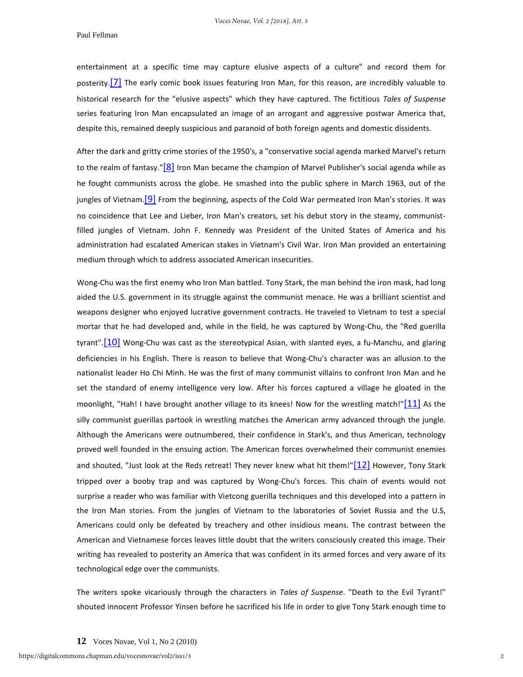#### Paul Fellman

entertainment at a specific time may capture elusive aspects of a culture" and record them for posterity.<sup>[7]</sup> The early comic book issues featuring Iron Man, for this reason, are incredibly valuable to historical research for the "elusive aspects" which they have captured. The fictitious *Tales of Suspense* series featuring Iron Man encapsulated an image of an arrogant and aggressive postwar America that, despite this, remained deeply suspicious and paranoid of both foreign agents and domestic dissidents.

After the dark and gritty crime stories of the 1950's, a "conservative social agenda marked Marvel's return to the realm of fantasy." $[8]$  Iron Man became the champion of Marvel Publisher's social agenda while as he fought communists across the globe. He smashed into the public sphere in March 1963, out of the jungles of Vietnam. **[9]** From the beginning, aspects of the Cold War permeated Iron Man's stories. It was no coincidence that Lee and Lieber, Iron Man's creators, set his debut story in the steamy, communistfilled jungles of Vietnam. John F. Kennedy was President of the United States of America and his administration had escalated American stakes in Vietnam's Civil War. Iron Man provided an entertaining medium through which to address associated American insecurities.

Wong-Chu was the first enemy who Iron Man battled. Tony Stark, the man behind the iron mask, had long aided the U.S. government in its struggle against the communist menace. He was a brilliant scientist and weapons designer who enjoyed lucrative government contracts. He traveled to Vietnam to test a special mortar that he had developed and, while in the field, he was captured by Wong-Chu, the "Red guerilla tyrant".<sup>[10]</sup> Wong-Chu was cast as the stereotypical Asian, with slanted eyes, a fu-Manchu, and glaring deficiencies in his English. There is reason to believe that Wong-Chu's character was an allusion to the nationalist leader Ho Chi Minh. He was the first of many communist villains to confront Iron Man and he set the standard of enemy intelligence very low. After his forces captured a village he gloated in the moonlight, "Hah! I have brought another village to its knees! Now for the wrestling match!["\[11\]](http://journals.chapman.edu/ojs/index.php/VocesNovae/article/view/37/126#_ftn11) As the silly communist guerillas partook in wrestling matches the American army advanced through the jungle. Although the Americans were outnumbered, their confidence in Stark's, and thus American, technology proved well founded in the ensuing action. The American forces overwhelmed their communist enemies and shouted, "Just look at the Reds retreat! They never knew what hit them!["\[12\]](http://journals.chapman.edu/ojs/index.php/VocesNovae/article/view/37/126#_ftn12) However, Tony Stark tripped over a booby trap and was captured by Wong-Chu's forces. This chain of events would not surprise a reader who was familiar with Vietcong guerilla techniques and this developed into a pattern in the Iron Man stories. From the jungles of Vietnam to the laboratories of Soviet Russia and the U.S, Americans could only be defeated by treachery and other insidious means. The contrast between the American and Vietnamese forces leaves little doubt that the writers consciously created this image. Their writing has revealed to posterity an America that was confident in its armed forces and very aware of its technological edge over the communists.

The writers spoke vicariously through the characters in *Tales of Suspense*. "Death to the Evil Tyrant!" shouted innocent Professor Yinsen before he sacrificed his life in order to give Tony Stark enough time to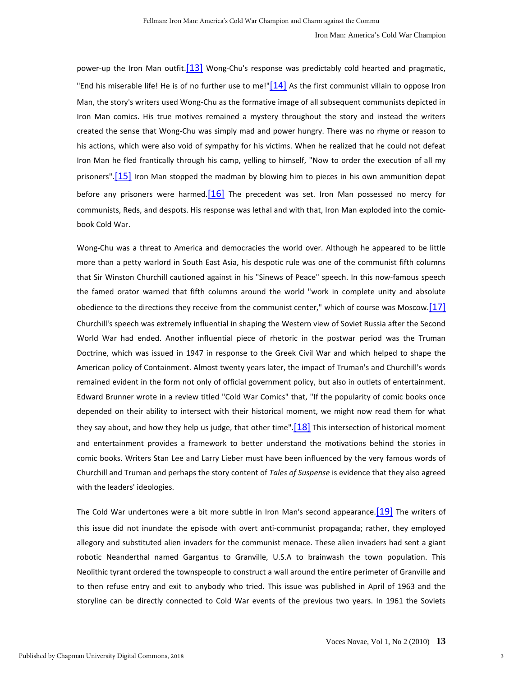power-up the Iron Man outfit.<sup>[13]</sup> Wong-Chu's response was predictably cold hearted and pragmatic, "End his miserable life! He is of no further use to me!" $[14]$  As the first communist villain to oppose Iron Man, the story's writers used Wong-Chu as the formative image of all subsequent communists depicted in Iron Man comics. His true motives remained a mystery throughout the story and instead the writers created the sense that Wong-Chu was simply mad and power hungry. There was no rhyme or reason to his actions, which were also void of sympathy for his victims. When he realized that he could not defeat Iron Man he fled frantically through his camp, yelling to himself, "Now to order the execution of all my prisoners".<sup>[15]</sup> Iron Man stopped the madman by blowing him to pieces in his own ammunition depot before any prisoners were harmed.  $16$  The precedent was set. Iron Man possessed no mercy for communists, Reds, and despots. His response was lethal and with that, Iron Man exploded into the comicbook Cold War.

Wong-Chu was a threat to America and democracies the world over. Although he appeared to be little more than a petty warlord in South East Asia, his despotic rule was one of the communist fifth columns that Sir Winston Churchill cautioned against in his "Sinews of Peace" speech. In this now-famous speech the famed orator warned that fifth columns around the world "work in complete unity and absolute obedience to the directions they receive from the communist center," which of course was Moscow. [17] Churchill's speech was extremely influential in shaping the Western view of Soviet Russia after the Second World War had ended. Another influential piece of rhetoric in the postwar period was the Truman Doctrine, which was issued in 1947 in response to the Greek Civil War and which helped to shape the American policy of Containment. Almost twenty years later, the impact of Truman's and Churchill's words remained evident in the form not only of official government policy, but also in outlets of entertainment. Edward Brunner wrote in a review titled "Cold War Comics" that, "If the popularity of comic books once depended on their ability to intersect with their historical moment, we might now read them for what they say about, and how they help us judge, that other time".  $[18]$  This intersection of historical moment and entertainment provides a framework to better understand the motivations behind the stories in comic books. Writers Stan Lee and Larry Lieber must have been influenced by the very famous words of Churchill and Truman and perhaps the story content of *Tales of Suspense* is evidence that they also agreed with the leaders' ideologies.

The Cold War undertones were a bit more subtle in Iron Man's second appearance. [19] The writers of this issue did not inundate the episode with overt anti-communist propaganda; rather, they employed allegory and substituted alien invaders for the communist menace. These alien invaders had sent a giant robotic Neanderthal named Gargantus to Granville, U.S.A to brainwash the town population. This Neolithic tyrant ordered the townspeople to construct a wall around the entire perimeter of Granville and to then refuse entry and exit to anybody who tried. This issue was published in April of 1963 and the storyline can be directly connected to Cold War events of the previous two years. In 1961 the Soviets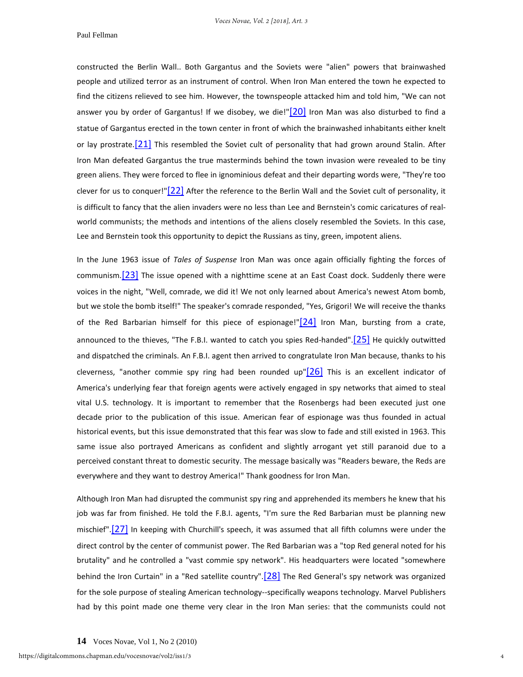*Voces Novae, Vol. 2 [2018], Art. 3*

#### Paul Fellman

constructed the Berlin Wall.. Both Gargantus and the Soviets were "alien" powers that brainwashed people and utilized terror as an instrument of control. When Iron Man entered the town he expected to find the citizens relieved to see him. However, the townspeople attacked him and told him, "We can not answer you by order of Gargantus! If we disobey, we die!" $[20]$  Iron Man was also disturbed to find a statue of Gargantus erected in the town center in front of which the brainwashed inhabitants either knelt or lay prostrate.  $[21]$  This resembled the Soviet cult of personality that had grown around Stalin. After Iron Man defeated Gargantus the true masterminds behind the town invasion were revealed to be tiny green aliens. They were forced to flee in ignominious defeat and their departing words were, "They're too clever for us to conquer!["\[22\]](http://journals.chapman.edu/ojs/index.php/VocesNovae/article/view/37/126#_ftn22) After the reference to the Berlin Wall and the Soviet cult of personality, it is difficult to fancy that the alien invaders were no less than Lee and Bernstein's comic caricatures of realworld communists; the methods and intentions of the aliens closely resembled the Soviets. In this case, Lee and Bernstein took this opportunity to depict the Russians as tiny, green, impotent aliens.

In the June 1963 issue of *Tales of Suspense* Iron Man was once again officially fighting the forces of communism.<sup>[23]</sup> The issue opened with a nighttime scene at an East Coast dock. Suddenly there were voices in the night, "Well, comrade, we did it! We not only learned about America's newest Atom bomb, but we stole the bomb itself!" The speaker's comrade responded, "Yes, Grigori! We will receive the thanks of the Red Barbarian himself for this piece of espionage!" $[24]$  Iron Man, bursting from a crate, announced to the thieves, "The F.B.I. wanted to catch you spies Red-handed"[.\[25\]](http://journals.chapman.edu/ojs/index.php/VocesNovae/article/view/37/126#_ftn25) He quickly outwitted and dispatched the criminals. An F.B.I. agent then arrived to congratulate Iron Man because, thanks to his cleverness, "another commie spy ring had been rounded up" $[26]$  This is an excellent indicator of America's underlying fear that foreign agents were actively engaged in spy networks that aimed to steal vital U.S. technology. It is important to remember that the Rosenbergs had been executed just one decade prior to the publication of this issue. American fear of espionage was thus founded in actual historical events, but this issue demonstrated that this fear was slow to fade and still existed in 1963. This same issue also portrayed Americans as confident and slightly arrogant yet still paranoid due to a perceived constant threat to domestic security. The message basically was "Readers beware, the Reds are everywhere and they want to destroy America!" Thank goodness for Iron Man.

Although Iron Man had disrupted the communist spy ring and apprehended its members he knew that his job was far from finished. He told the F.B.I. agents, "I'm sure the Red Barbarian must be planning new mischief". $[27]$  In keeping with Churchill's speech, it was assumed that all fifth columns were under the direct control by the center of communist power. The Red Barbarian was a "top Red general noted for his brutality" and he controlled a "vast commie spy network". His headquarters were located "somewhere behind the Iron Curtain" in a "Red satellite country".<sup>[28]</sup> The Red General's spy network was organized for the sole purpose of stealing American technology--specifically weapons technology. Marvel Publishers had by this point made one theme very clear in the Iron Man series: that the communists could not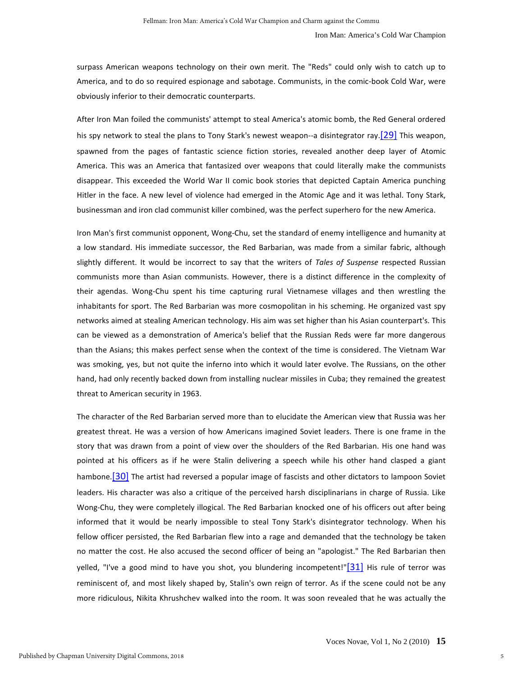surpass American weapons technology on their own merit. The "Reds" could only wish to catch up to America, and to do so required espionage and sabotage. Communists, in the comic-book Cold War, were obviously inferior to their democratic counterparts.

After Iron Man foiled the communists' attempt to steal America's atomic bomb, the Red General ordered his spy network to steal the plans to Tony Stark's newest weapon--a disintegrator ray.<sup>[29]</sup> This weapon, spawned from the pages of fantastic science fiction stories, revealed another deep layer of Atomic America. This was an America that fantasized over weapons that could literally make the communists disappear. This exceeded the World War II comic book stories that depicted Captain America punching Hitler in the face. A new level of violence had emerged in the Atomic Age and it was lethal. Tony Stark, businessman and iron clad communist killer combined, was the perfect superhero for the new America.

Iron Man's first communist opponent, Wong-Chu, set the standard of enemy intelligence and humanity at a low standard. His immediate successor, the Red Barbarian, was made from a similar fabric, although slightly different. It would be incorrect to say that the writers of *Tales of Suspense* respected Russian communists more than Asian communists. However, there is a distinct difference in the complexity of their agendas. Wong-Chu spent his time capturing rural Vietnamese villages and then wrestling the inhabitants for sport. The Red Barbarian was more cosmopolitan in his scheming. He organized vast spy networks aimed at stealing American technology. His aim was set higher than his Asian counterpart's. This can be viewed as a demonstration of America's belief that the Russian Reds were far more dangerous than the Asians; this makes perfect sense when the context of the time is considered. The Vietnam War was smoking, yes, but not quite the inferno into which it would later evolve. The Russians, on the other hand, had only recently backed down from installing nuclear missiles in Cuba; they remained the greatest threat to American security in 1963.

The character of the Red Barbarian served more than to elucidate the American view that Russia was her greatest threat. He was a version of how Americans imagined Soviet leaders. There is one frame in the story that was drawn from a point of view over the shoulders of the Red Barbarian. His one hand was pointed at his officers as if he were Stalin delivering a speech while his other hand clasped a giant hambone.<sup>[30]</sup> The artist had reversed a popular image of fascists and other dictators to lampoon Soviet leaders. His character was also a critique of the perceived harsh disciplinarians in charge of Russia. Like Wong-Chu, they were completely illogical. The Red Barbarian knocked one of his officers out after being informed that it would be nearly impossible to steal Tony Stark's disintegrator technology. When his fellow officer persisted, the Red Barbarian flew into a rage and demanded that the technology be taken no matter the cost. He also accused the second officer of being an "apologist." The Red Barbarian then yelled, "I've a good mind to have you shot, you blundering incompetent!["\[31\]](http://journals.chapman.edu/ojs/index.php/VocesNovae/article/view/37/126#_ftn31) His rule of terror was reminiscent of, and most likely shaped by, Stalin's own reign of terror. As if the scene could not be any more ridiculous, Nikita Khrushchev walked into the room. It was soon revealed that he was actually the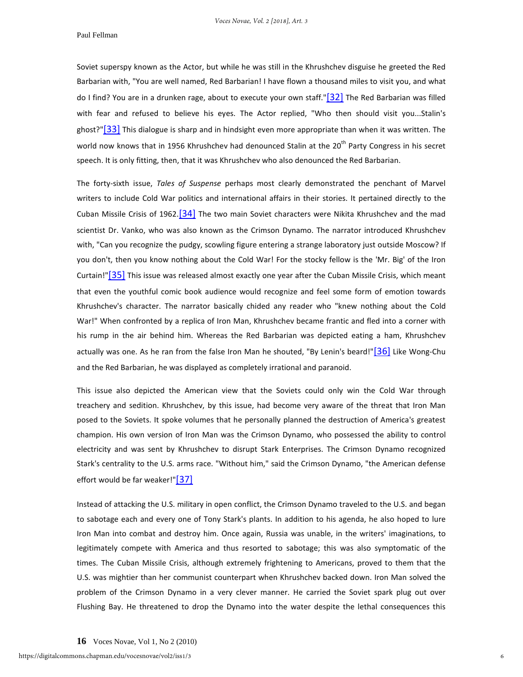*Voces Novae, Vol. 2 [2018], Art. 3*

#### Paul Fellman

Soviet superspy known as the Actor, but while he was still in the Khrushchev disguise he greeted the Red Barbarian with, "You are well named, Red Barbarian! I have flown a thousand miles to visit you, and what do I find? You are in a drunken rage, about to execute your own staff.["\[32\]](http://journals.chapman.edu/ojs/index.php/VocesNovae/article/view/37/126#_ftn32) The Red Barbarian was filled with fear and refused to believe his eyes. The Actor replied, "Who then should visit you...Stalin's ghost?["\[33\]](http://journals.chapman.edu/ojs/index.php/VocesNovae/article/view/37/126#_ftn33) This dialogue is sharp and in hindsight even more appropriate than when it was written. The world now knows that in 1956 Khrushchev had denounced Stalin at the 20<sup>th</sup> Party Congress in his secret speech. It is only fitting, then, that it was Khrushchev who also denounced the Red Barbarian.

The forty-sixth issue, *Tales of Suspense* perhaps most clearly demonstrated the penchant of Marvel writers to include Cold War politics and international affairs in their stories. It pertained directly to the Cuban Missile Crisis of 1962.<sup>[34]</sup> The two main Soviet characters were Nikita Khrushchev and the mad scientist Dr. Vanko, who was also known as the Crimson Dynamo. The narrator introduced Khrushchev with, "Can you recognize the pudgy, scowling figure entering a strange laboratory just outside Moscow? If you don't, then you know nothing about the Cold War! For the stocky fellow is the 'Mr. Big' of the Iron Curtain!"<sup>[35]</sup> This issue was released almost exactly one year after the Cuban Missile Crisis, which meant that even the youthful comic book audience would recognize and feel some form of emotion towards Khrushchev's character. The narrator basically chided any reader who "knew nothing about the Cold War!" When confronted by a replica of Iron Man, Khrushchev became frantic and fled into a corner with his rump in the air behind him. Whereas the Red Barbarian was depicted eating a ham, Khrushchev actually was one. As he ran from the false Iron Man he shouted, "By Lenin's beard!["\[36\]](http://journals.chapman.edu/ojs/index.php/VocesNovae/article/view/37/126#_ftn36) Like Wong-Chu and the Red Barbarian, he was displayed as completely irrational and paranoid.

This issue also depicted the American view that the Soviets could only win the Cold War through treachery and sedition. Khrushchev, by this issue, had become very aware of the threat that Iron Man posed to the Soviets. It spoke volumes that he personally planned the destruction of America's greatest champion. His own version of Iron Man was the Crimson Dynamo, who possessed the ability to control electricity and was sent by Khrushchev to disrupt Stark Enterprises. The Crimson Dynamo recognized Stark's centrality to the U.S. arms race. "Without him," said the Crimson Dynamo, "the American defense effort would be far weaker!" $\boxed{37}$ 

Instead of attacking the U.S. military in open conflict, the Crimson Dynamo traveled to the U.S. and began to sabotage each and every one of Tony Stark's plants. In addition to his agenda, he also hoped to lure Iron Man into combat and destroy him. Once again, Russia was unable, in the writers' imaginations, to legitimately compete with America and thus resorted to sabotage; this was also symptomatic of the times. The Cuban Missile Crisis, although extremely frightening to Americans, proved to them that the U.S. was mightier than her communist counterpart when Khrushchev backed down. Iron Man solved the problem of the Crimson Dynamo in a very clever manner. He carried the Soviet spark plug out over Flushing Bay. He threatened to drop the Dynamo into the water despite the lethal consequences this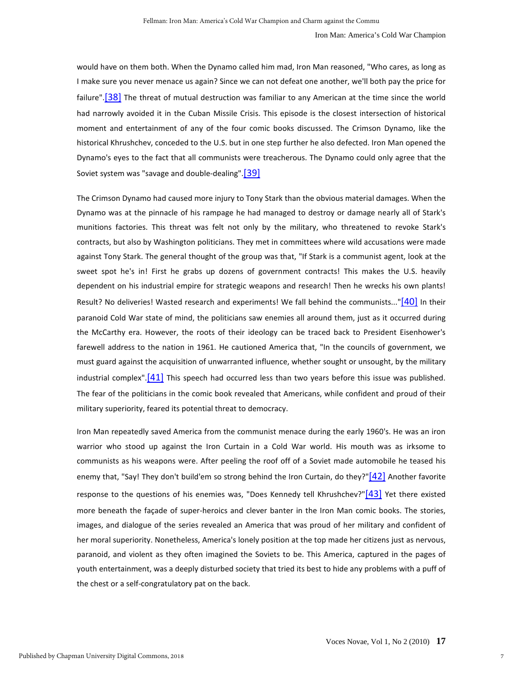would have on them both. When the Dynamo called him mad, Iron Man reasoned, "Who cares, as long as I make sure you never menace us again? Since we can not defeat one another, we'll both pay the price for failure".<sup>[38]</sup> The threat of mutual destruction was familiar to any American at the time since the world had narrowly avoided it in the Cuban Missile Crisis. This episode is the closest intersection of historical moment and entertainment of any of the four comic books discussed. The Crimson Dynamo, like the historical Khrushchev, conceded to the U.S. but in one step further he also defected. Iron Man opened the Dynamo's eyes to the fact that all communists were treacherous. The Dynamo could only agree that the Soviet system was "savage and double-dealing"[.\[39\]](http://journals.chapman.edu/ojs/index.php/VocesNovae/article/view/37/126#_ftn39)

The Crimson Dynamo had caused more injury to Tony Stark than the obvious material damages. When the Dynamo was at the pinnacle of his rampage he had managed to destroy or damage nearly all of Stark's munitions factories. This threat was felt not only by the military, who threatened to revoke Stark's contracts, but also by Washington politicians. They met in committees where wild accusations were made against Tony Stark. The general thought of the group was that, "If Stark is a communist agent, look at the sweet spot he's in! First he grabs up dozens of government contracts! This makes the U.S. heavily dependent on his industrial empire for strategic weapons and research! Then he wrecks his own plants! Result? No deliveries! Wasted research and experiments! We fall behind the communists...["\[40\]](http://journals.chapman.edu/ojs/index.php/VocesNovae/article/view/37/126#_ftn40) In their paranoid Cold War state of mind, the politicians saw enemies all around them, just as it occurred during the McCarthy era. However, the roots of their ideology can be traced back to President Eisenhower's farewell address to the nation in 1961. He cautioned America that, "In the councils of government, we must guard against the acquisition of unwarranted influence, whether sought or unsought, by the military industrial complex". $[41]$  This speech had occurred less than two years before this issue was published. The fear of the politicians in the comic book revealed that Americans, while confident and proud of their military superiority, feared its potential threat to democracy.

Iron Man repeatedly saved America from the communist menace during the early 1960's. He was an iron warrior who stood up against the Iron Curtain in a Cold War world. His mouth was as irksome to communists as his weapons were. After peeling the roof off of a Soviet made automobile he teased his enemy that, "Say! They don't build'em so strong behind the Iron Curtain, do they?["\[42\]](http://journals.chapman.edu/ojs/index.php/VocesNovae/article/view/37/126#_ftn42) Another favorite response to the questions of his enemies was, "Does Kennedy tell Khrushchev?" $[43]$  Yet there existed more beneath the façade of super-heroics and clever banter in the Iron Man comic books. The stories, images, and dialogue of the series revealed an America that was proud of her military and confident of her moral superiority. Nonetheless, America's lonely position at the top made her citizens just as nervous, paranoid, and violent as they often imagined the Soviets to be. This America, captured in the pages of youth entertainment, was a deeply disturbed society that tried its best to hide any problems with a puff of the chest or a self-congratulatory pat on the back.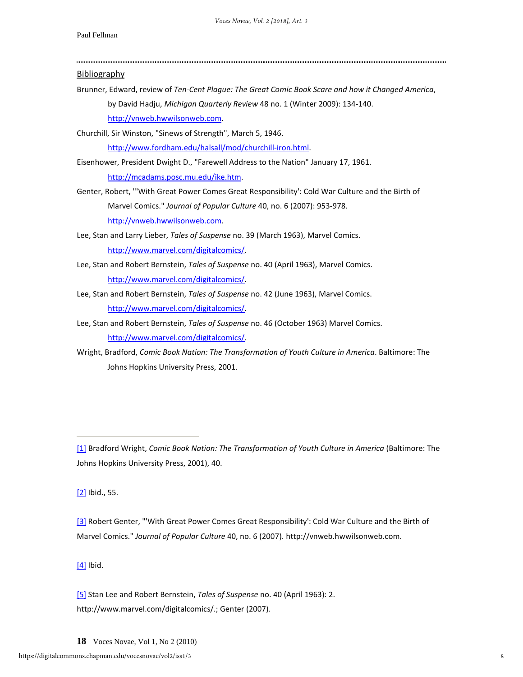Bibliography Brunner, Edward, review of *Ten-Cent Plague: The Great Comic Book Scare and how it Changed America*, by David Hadju, *Michigan Quarterly Review* 48 no. 1 (Winter 2009): 134-140. [http://vnweb.hwwilsonweb.com.](http://vnweb.hwwilsonweb.com/) Churchill, Sir Winston, "Sinews of Strength", March 5, 1946. [http://www.fordham.edu/halsall/mod/churchill-iron.html.](http://www.fordham.edu/halsall/mod/churchill-iron.html) Eisenhower, President Dwight D., "Farewell Address to the Nation" January 17, 1961. [http://mcadams.posc.mu.edu/ike.htm.](http://mcadams.posc.mu.edu/ike.htm) Genter, Robert, "'With Great Power Comes Great Responsibility': Cold War Culture and the Birth of Marvel Comics." *Journal of Popular Culture* 40, no. 6 (2007): 953-978. [http://vnweb.hwwilsonweb.com.](http://vnweb.hwwilsonweb.com/) Lee, Stan and Larry Lieber, *Tales of Suspense* no. 39 (March 1963), Marvel Comics. [http://www.marvel.com/digitalcomics/.](http://www.marvel.com/digitalcomics/) Lee, Stan and Robert Bernstein, *Tales of Suspense* no. 40 (April 1963), Marvel Comics. [http://www.marvel.com/digitalcomics/.](http://www.marvel.com/digitalcomics/) Lee, Stan and Robert Bernstein, *Tales of Suspense* no. 42 (June 1963), Marvel Comics. [http://www.marvel.com/digitalcomics/.](http://www.marvel.com/digitalcomics/) Lee, Stan and Robert Bernstein, *Tales of Suspense* no. 46 (October 1963) Marvel Comics. [http://www.marvel.com/digitalcomics/.](http://www.marvel.com/digitalcomics/) Wright, Bradford, *Comic Book Nation: The Transformation of Youth Culture in America*. Baltimore: The Johns Hopkins University Press, 2001.

[\[1\]](http://journals.chapman.edu/ojs/index.php/VocesNovae/article/view/37/126#_ftnref1) Bradford Wright, *Comic Book Nation: The Transformation of Youth Culture in America* (Baltimore: The Johns Hopkins University Press, 2001), 40.

[\[2\]](http://journals.chapman.edu/ojs/index.php/VocesNovae/article/view/37/126#_ftnref2) Ibid., 55.

[\[3\]](http://journals.chapman.edu/ojs/index.php/VocesNovae/article/view/37/126#_ftnref3) Robert Genter, "'With Great Power Comes Great Responsibility': Cold War Culture and the Birth of Marvel Comics." *Journal of Popular Culture* 40, no. 6 (2007). http://vnweb.hwwilsonweb.com.

[\[4\]](http://journals.chapman.edu/ojs/index.php/VocesNovae/article/view/37/126#_ftnref4) Ibid.

[\[5\]](http://journals.chapman.edu/ojs/index.php/VocesNovae/article/view/37/126#_ftnref5) Stan Lee and Robert Bernstein, *Tales of Suspense* no. 40 (April 1963): 2. http://www.marvel.com/digitalcomics/.; Genter (2007).

**18** Voces Novae, Vol 1, No 2 (2010)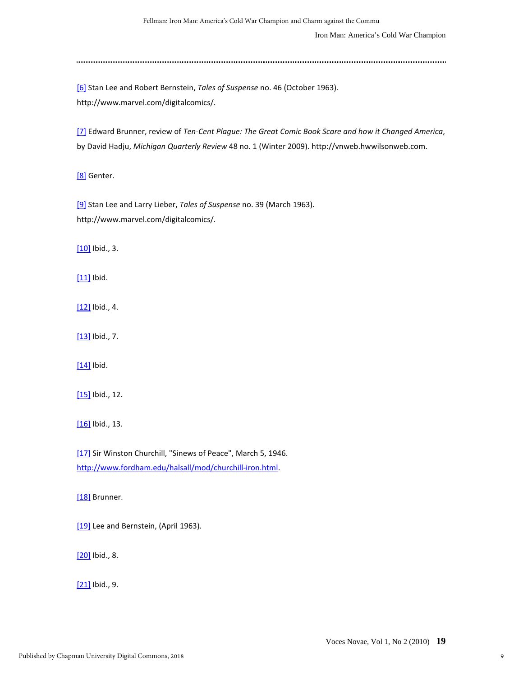Iron Man: America's Cold War Champion

[\[6\]](http://journals.chapman.edu/ojs/index.php/VocesNovae/article/view/37/126#_ftnref6) Stan Lee and Robert Bernstein, *Tales of Suspense* no. 46 (October 1963). http://www.marvel.com/digitalcomics/.

[\[7\]](http://journals.chapman.edu/ojs/index.php/VocesNovae/article/view/37/126#_ftnref7) Edward Brunner, review of *Ten-Cent Plague: The Great Comic Book Scare and how it Changed America*, by David Hadju, *Michigan Quarterly Review* 48 no. 1 (Winter 2009). http://vnweb.hwwilsonweb.com.

[\[8\]](http://journals.chapman.edu/ojs/index.php/VocesNovae/article/view/37/126#_ftnref8) Genter.

[\[9\]](http://journals.chapman.edu/ojs/index.php/VocesNovae/article/view/37/126#_ftnref9) Stan Lee and Larry Lieber, *Tales of Suspense* no. 39 (March 1963). http://www.marvel.com/digitalcomics/.

[\[10\]](http://journals.chapman.edu/ojs/index.php/VocesNovae/article/view/37/126#_ftnref10) Ibid., 3.

[\[11\]](http://journals.chapman.edu/ojs/index.php/VocesNovae/article/view/37/126#_ftnref11) Ibid.

[\[12\]](http://journals.chapman.edu/ojs/index.php/VocesNovae/article/view/37/126#_ftnref12) Ibid., 4.

[\[13\]](http://journals.chapman.edu/ojs/index.php/VocesNovae/article/view/37/126#_ftnref13) Ibid., 7.

[\[14\]](http://journals.chapman.edu/ojs/index.php/VocesNovae/article/view/37/126#_ftnref14) Ibid.

[\[15\]](http://journals.chapman.edu/ojs/index.php/VocesNovae/article/view/37/126#_ftnref15) Ibid., 12.

[\[16\]](http://journals.chapman.edu/ojs/index.php/VocesNovae/article/view/37/126#_ftnref16) Ibid., 13.

[\[17\]](http://journals.chapman.edu/ojs/index.php/VocesNovae/article/view/37/126#_ftnref17) Sir Winston Churchill, "Sinews of Peace", March 5, 1946. [http://www.fordham.edu/halsall/mod/churchill-iron.html.](http://www.fordham.edu/halsall/mod/churchill-iron.html)

[\[18\]](http://journals.chapman.edu/ojs/index.php/VocesNovae/article/view/37/126#_ftnref18) Brunner.

[\[19\]](http://journals.chapman.edu/ojs/index.php/VocesNovae/article/view/37/126#_ftnref19) Lee and Bernstein, (April 1963).

[\[20\]](http://journals.chapman.edu/ojs/index.php/VocesNovae/article/view/37/126#_ftnref20) Ibid., 8.

[\[21\]](http://journals.chapman.edu/ojs/index.php/VocesNovae/article/view/37/126#_ftnref21) Ibid., 9.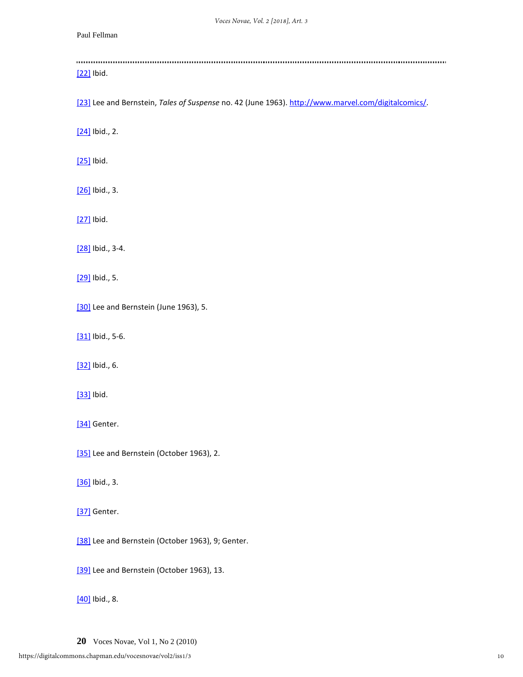## Paul Fellman

| [22] Ibid.                                                                                          |
|-----------------------------------------------------------------------------------------------------|
| [23] Lee and Bernstein, Tales of Suspense no. 42 (June 1963). http://www.marvel.com/digitalcomics/. |
| $[24]$ Ibid., 2.                                                                                    |
| [25] Ibid.                                                                                          |
| $[26]$ Ibid., 3.                                                                                    |
| [27] Ibid.                                                                                          |
| [28] Ibid., 3-4.                                                                                    |
| [29] Ibid., 5.                                                                                      |
| [30] Lee and Bernstein (June 1963), 5.                                                              |
| [31] Ibid., 5-6.                                                                                    |
| [32] Ibid., 6.                                                                                      |
| [33] Ibid.                                                                                          |
| [34] Genter.                                                                                        |
| [35] Lee and Bernstein (October 1963), 2.                                                           |
| [36] Ibid., 3.                                                                                      |
| [37] Genter.                                                                                        |
| [38] Lee and Bernstein (October 1963), 9; Genter.                                                   |
| [39] Lee and Bernstein (October 1963), 13.                                                          |
| $[40]$ Ibid., 8.                                                                                    |